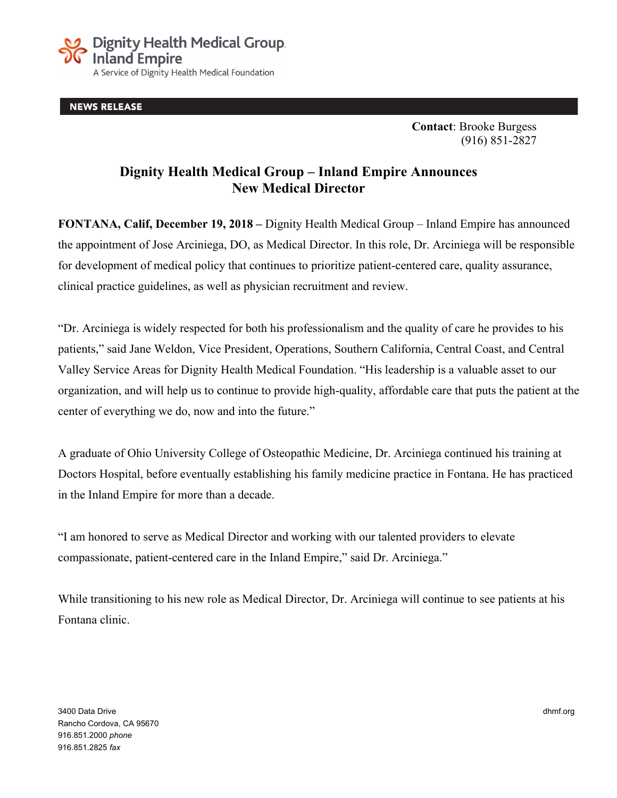

**NEWS RELEASE** 

**Contact**: Brooke Burgess (916) 851-2827

## **Dignity Health Medical Group – Inland Empire Announces New Medical Director**

**FONTANA, Calif, December 19, 2018 –** Dignity Health Medical Group – Inland Empire has announced the appointment of Jose Arciniega, DO, as Medical Director. In this role, Dr. Arciniega will be responsible for development of medical policy that continues to prioritize patient-centered care, quality assurance, clinical practice guidelines, as well as physician recruitment and review.

"Dr. Arciniega is widely respected for both his professionalism and the quality of care he provides to his patients," said Jane Weldon, Vice President, Operations, Southern California, Central Coast, and Central Valley Service Areas for Dignity Health Medical Foundation. "His leadership is a valuable asset to our organization, and will help us to continue to provide high-quality, affordable care that puts the patient at the center of everything we do, now and into the future."

A graduate of Ohio University College of Osteopathic Medicine, Dr. Arciniega continued his training at Doctors Hospital, before eventually establishing his family medicine practice in Fontana. He has practiced in the Inland Empire for more than a decade.

"I am honored to serve as Medical Director and working with our talented providers to elevate compassionate, patient-centered care in the Inland Empire," said Dr. Arciniega."

While transitioning to his new role as Medical Director, Dr. Arciniega will continue to see patients at his Fontana clinic.